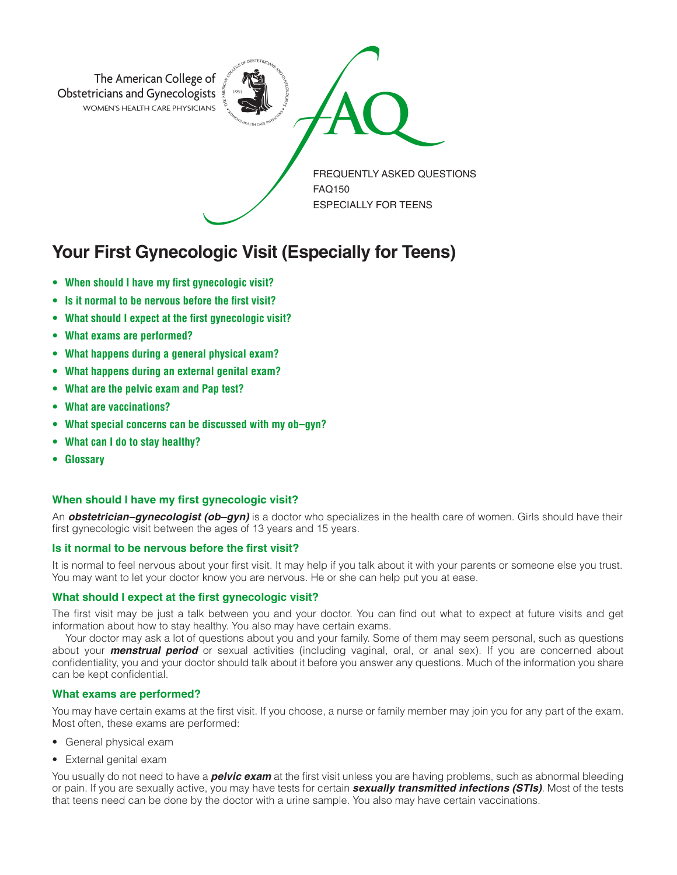

# **Your First Gynecologic Visit (Especially for Teens)**

- **• When should I have my first gynecologic visit?**
- **• Is it normal to be nervous before the first visit?**
- **• What should I expect at the first gynecologic visit?**
- **• What exams are performed?**
- **• What happens during a general physical exam?**
- **• What happens during an external genital exam?**
- **• What are the pelvic exam and Pap test?**
- **• What are vaccinations?**
- **• What special concerns can be discussed with my ob–gyn?**
- **• What can I do to stay healthy?**
- **• Glossary**

### **When should I have my first gynecologic visit?**

An *obstetrician–gynecologist (ob–gyn)* is a doctor who specializes in the health care of women. Girls should have their first gynecologic visit between the ages of 13 years and 15 years.

#### **Is it normal to be nervous before the first visit?**

It is normal to feel nervous about your first visit. It may help if you talk about it with your parents or someone else you trust. You may want to let your doctor know you are nervous. He or she can help put you at ease.

#### **What should I expect at the first gynecologic visit?**

The first visit may be just a talk between you and your doctor. You can find out what to expect at future visits and get information about how to stay healthy. You also may have certain exams.

Your doctor may ask a lot of questions about you and your family. Some of them may seem personal, such as questions about your *menstrual period* or sexual activities (including vaginal, oral, or anal sex). If you are concerned about confidentiality, you and your doctor should talk about it before you answer any questions. Much of the information you share can be kept confidential.

#### **What exams are performed?**

You may have certain exams at the first visit. If you choose, a nurse or family member may join you for any part of the exam. Most often, these exams are performed:

- General physical exam
- External genital exam

You usually do not need to have a *pelvic exam* at the first visit unless you are having problems, such as abnormal bleeding or pain. If you are sexually active, you may have tests for certain *sexually transmitted infections (STIs)*. Most of the tests that teens need can be done by the doctor with a urine sample. You also may have certain vaccinations.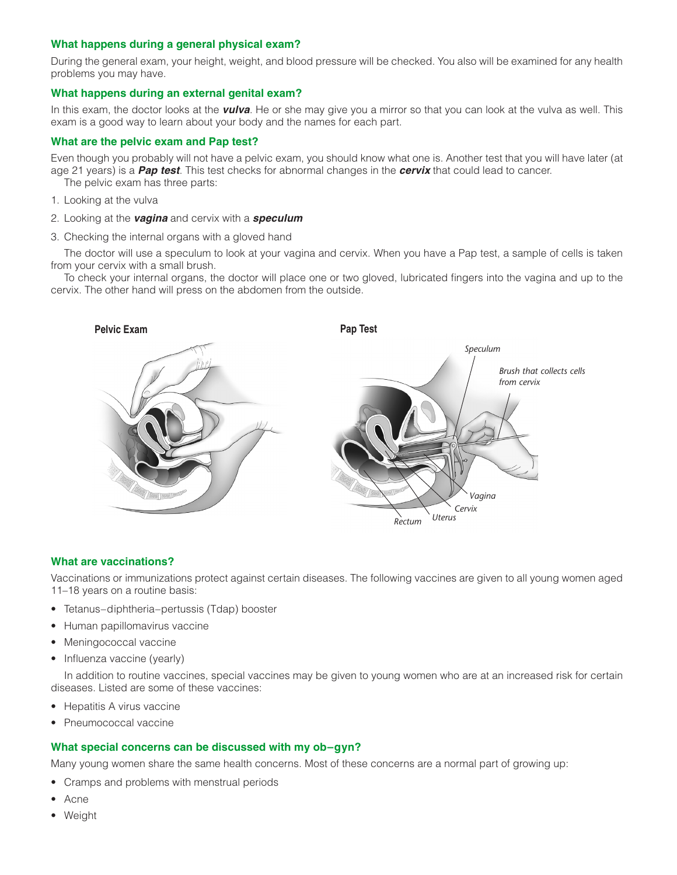# **What happens during a general physical exam?**

During the general exam, your height, weight, and blood pressure will be checked. You also will be examined for any health problems you may have.

# **What happens during an external genital exam?**

In this exam, the doctor looks at the *vulva*. He or she may give you a mirror so that you can look at the vulva as well. This exam is a good way to learn about your body and the names for each part.

# **What are the pelvic exam and Pap test?**

Even though you probably will not have a pelvic exam, you should know what one is. Another test that you will have later (at age 21 years) is a *Pap test*. This test checks for abnormal changes in the *cervix* that could lead to cancer.

The pelvic exam has three parts:

- 1. Looking at the vulva
- 2. Looking at the *vagina* and cervix with a *speculum*
- 3. Checking the internal organs with a gloved hand

The doctor will use a speculum to look at your vagina and cervix. When you have a Pap test, a sample of cells is taken from your cervix with a small brush.

To check your internal organs, the doctor will place one or two gloved, lubricated fingers into the vagina and up to the cervix. The other hand will press on the abdomen from the outside.



## **What are vaccinations?**

Vaccinations or immunizations protect against certain diseases. The following vaccines are given to all young women aged 11–18 years on a routine basis:

- Tetanus–diphtheria–pertussis (Tdap) booster
- Human papillomavirus vaccine
- Meningococcal vaccine
- Influenza vaccine (yearly)

In addition to routine vaccines, special vaccines may be given to young women who are at an increased risk for certain diseases. Listed are some of these vaccines:

- Hepatitis A virus vaccine
- Pneumococcal vaccine

## **What special concerns can be discussed with my ob–gyn?**

Many young women share the same health concerns. Most of these concerns are a normal part of growing up:

- Cramps and problems with menstrual periods
- Acne
- Weight